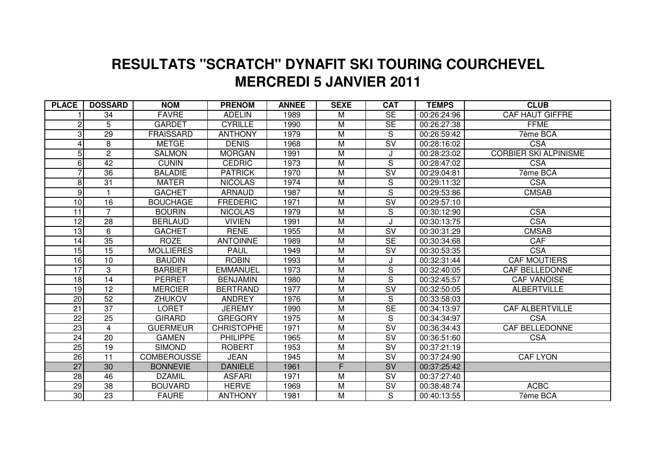## **MERCREDI 5 JANVIER 2011 RESULTATS "SCRATCH" DYNAFIT SKI TOURING COURCHEVEL**

| <b>PLACE</b>    | <b>DOSSARD</b>  | <b>NOM</b>         | <b>PRENOM</b>     | <b>ANNEE</b> | <b>SEXE</b>             | <b>CAT</b>               | <b>TEMPS</b> | <b>CLUB</b>                  |
|-----------------|-----------------|--------------------|-------------------|--------------|-------------------------|--------------------------|--------------|------------------------------|
|                 | 34              | <b>FAVRE</b>       | <b>ADELIN</b>     | 1989         | M                       | <b>SE</b>                | 00:26:24:96  | <b>CAF HAUT GIFFRE</b>       |
| 2               | 5               | <b>GARDET</b>      | <b>CYRILLE</b>    | 1990         | M                       | <b>SE</b>                | 00:26:27:38  | <b>FFME</b>                  |
| 3               | 29              | <b>FRAISSARD</b>   | <b>ANTHONY</b>    | 1979         | M                       | S                        | 00:26:59:42  | 7ème BCA                     |
|                 | 8               | <b>METGE</b>       | <b>DENIS</b>      | 1968         | M                       | $\overline{\mathsf{SV}}$ | 00:28:16:02  | <b>CSA</b>                   |
| 5               | $\overline{2}$  | <b>SALMON</b>      | <b>MORGAN</b>     | 1991         | M                       | J                        | 00:28:23:02  | <b>CORBIER SKI ALPINISME</b> |
| 6               | 42              | <b>CUNIN</b>       | <b>CEDRIC</b>     | 1973         | M                       | S                        | 00:28:47:02  | <b>CSA</b>                   |
|                 | 36              | <b>BALADIE</b>     | <b>PATRICK</b>    | 1970         | M                       | $\overline{\mathsf{SV}}$ | 00:29:04:81  | 7ème BCA                     |
| 8               | 31              | <b>MATER</b>       | <b>NICOLAS</b>    | 1974         | M                       | S                        | 00:29:11:32  | <b>CSA</b>                   |
| 9               |                 | <b>GACHET</b>      | <b>ARNAUD</b>     | 1987         | M                       | $\overline{\mathsf{s}}$  | 00:29:53:86  | <b>CMSAB</b>                 |
| 10              | 16              | <b>BOUCHAGE</b>    | <b>FREDERIC</b>   | 1971         | M                       | $\overline{\mathsf{SV}}$ | 00:29:57:10  |                              |
| 11              | $\overline{7}$  | <b>BOURIN</b>      | <b>NICOLAS</b>    | 1979         | $\overline{M}$          | S                        | 00:30:12:90  | <b>CSA</b>                   |
| 12              | 28              | <b>BERLAUD</b>     | <b>VIVIEN</b>     | 1991         | M                       | J                        | 00:30:13:75  | <b>CSA</b>                   |
| 13              | 6               | <b>GACHET</b>      | <b>RENE</b>       | 1955         | M                       | SV                       | 00:30:31:29  | <b>CMSAB</b>                 |
| 14              | 35              | <b>ROZE</b>        | <b>ANTOINNE</b>   | 1989         | M                       | $\overline{\text{SE}}$   | 00:30:34:68  | CAF                          |
| 15              | 15              | <b>MOLLIERES</b>   | <b>PAUL</b>       | 1949         | M                       | SV                       | 00:30:53:35  | <b>CSA</b>                   |
| 16              | 10              | <b>BAUDIN</b>      | <b>ROBIN</b>      | 1993         | $\overline{M}$          | J                        | 00:32:31:44  | <b>CAF MOUTIERS</b>          |
| $\overline{17}$ | 3               | <b>BARBIER</b>     | <b>EMMANUEL</b>   | 1973         | M                       | S                        | 00:32:40:05  | <b>CAF BELLEDONNE</b>        |
| 18              | $\overline{14}$ | <b>PERRET</b>      | <b>BENJAMIN</b>   | 1980         | M                       | $\overline{\mathsf{s}}$  | 00:32:45:57  | <b>CAF VANOISE</b>           |
| 19              | $\overline{12}$ | <b>MERCIER</b>     | <b>BERTRAND</b>   | 1977         | $\overline{\mathsf{M}}$ | $\overline{\mathsf{sv}}$ | 00:32:50:05  | <b>ALBERTVILLE</b>           |
| <b>20</b>       | 52              | <b>ZHUKOV</b>      | <b>ANDREY</b>     | 1976         | M                       | S                        | 00:33:58:03  |                              |
| $\overline{21}$ | $\overline{37}$ | <b>LORET</b>       | <b>JEREMY</b>     | 1990         | $\overline{M}$          | $\overline{\text{SE}}$   | 00:34:13:97  | <b>CAF ALBERTVILLE</b>       |
| $\overline{22}$ | 25              | <b>GIRARD</b>      | <b>GREGORY</b>    | 1975         | $\overline{M}$          | S                        | 00:34:34:97  | <b>CSA</b>                   |
| 23              | 4               | <b>GUERMEUR</b>    | <b>CHRISTOPHE</b> | 1971         | M                       | $\overline{\mathsf{SV}}$ | 00:36:34:43  | <b>CAF BELLEDONNE</b>        |
| 24              | 20              | <b>GAMEN</b>       | <b>PHILIPPE</b>   | 1965         | M                       | $\overline{\mathsf{SV}}$ | 00:36:51:60  | <b>CSA</b>                   |
| 25              | 19              | <b>SIMOND</b>      | <b>ROBERT</b>     | 1953         | M                       | SV                       | 00:37:21:19  |                              |
| $\overline{26}$ | $\overline{11}$ | <b>COMBEROUSSE</b> | <b>JEAN</b>       | 1945         | M                       | $\overline{\mathsf{SV}}$ | 00:37:24:90  | <b>CAF LYON</b>              |
| 27              | 30              | <b>BONNEVIE</b>    | <b>DANIELE</b>    | 1961         | F                       | SV                       | 00:37:25:42  |                              |
| 28              | 46              | <b>DZAMIL</b>      | <b>ASFARI</b>     | 1971         | M                       | SV                       | 00:37:27:40  |                              |
| 29              | 38              | <b>BOUVARD</b>     | <b>HERVE</b>      | 1969         | M                       | SV                       | 00:38:48:74  | <b>ACBC</b>                  |
| 30              | 23              | <b>FAURE</b>       | <b>ANTHONY</b>    | 1981         | M                       | S                        | 00:40:13:55  | 7ème BCA                     |